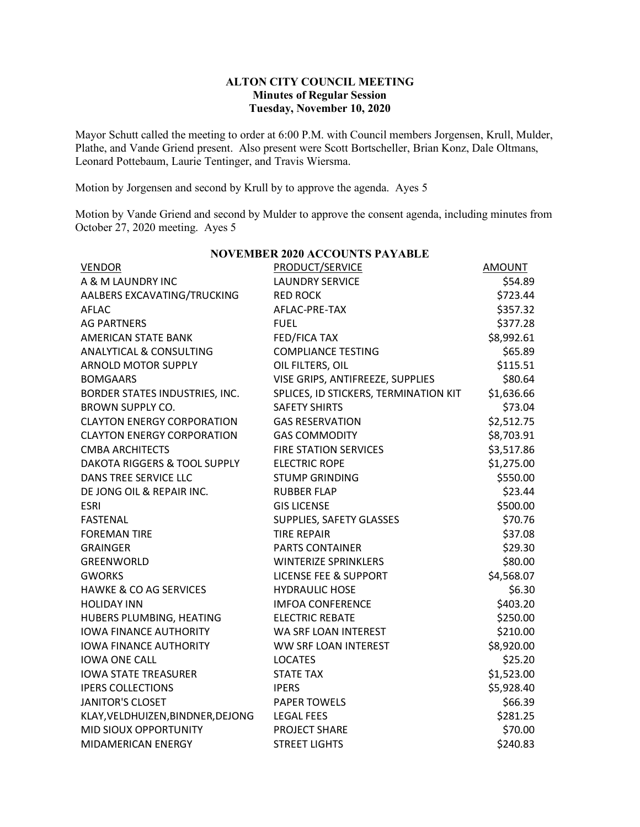## **ALTON CITY COUNCIL MEETING Minutes of Regular Session Tuesday, November 10, 2020**

Mayor Schutt called the meeting to order at 6:00 P.M. with Council members Jorgensen, Krull, Mulder, Plathe, and Vande Griend present. Also present were Scott Bortscheller, Brian Konz, Dale Oltmans, Leonard Pottebaum, Laurie Tentinger, and Travis Wiersma.

Motion by Jorgensen and second by Krull by to approve the agenda. Ayes 5

Motion by Vande Griend and second by Mulder to approve the consent agenda, including minutes from October 27, 2020 meeting. Ayes 5

|                                         | <u>o leimber 2020 recovered film</u>  |            |
|-----------------------------------------|---------------------------------------|------------|
| <b>VENDOR</b>                           | PRODUCT/SERVICE                       | AMOUNT     |
| A & M LAUNDRY INC                       | <b>LAUNDRY SERVICE</b>                | \$54.89    |
| AALBERS EXCAVATING/TRUCKING             | <b>RED ROCK</b>                       | \$723.44   |
| <b>AFLAC</b>                            | AFLAC-PRE-TAX                         | \$357.32   |
| <b>AG PARTNERS</b>                      | <b>FUEL</b>                           | \$377.28   |
| <b>AMERICAN STATE BANK</b>              | FED/FICA TAX                          | \$8,992.61 |
| <b>ANALYTICAL &amp; CONSULTING</b>      | <b>COMPLIANCE TESTING</b>             | \$65.89    |
| <b>ARNOLD MOTOR SUPPLY</b>              | OIL FILTERS, OIL                      | \$115.51   |
| <b>BOMGAARS</b>                         | VISE GRIPS, ANTIFREEZE, SUPPLIES      | \$80.64    |
| BORDER STATES INDUSTRIES, INC.          | SPLICES, ID STICKERS, TERMINATION KIT | \$1,636.66 |
| <b>BROWN SUPPLY CO.</b>                 | <b>SAFETY SHIRTS</b>                  | \$73.04    |
| <b>CLAYTON ENERGY CORPORATION</b>       | <b>GAS RESERVATION</b>                | \$2,512.75 |
| <b>CLAYTON ENERGY CORPORATION</b>       | <b>GAS COMMODITY</b>                  | \$8,703.91 |
| <b>CMBA ARCHITECTS</b>                  | <b>FIRE STATION SERVICES</b>          | \$3,517.86 |
| <b>DAKOTA RIGGERS &amp; TOOL SUPPLY</b> | <b>ELECTRIC ROPE</b>                  | \$1,275.00 |
| DANS TREE SERVICE LLC                   | <b>STUMP GRINDING</b>                 | \$550.00   |
| DE JONG OIL & REPAIR INC.               | <b>RUBBER FLAP</b>                    | \$23.44    |
| <b>ESRI</b>                             | <b>GIS LICENSE</b>                    | \$500.00   |
| <b>FASTENAL</b>                         | SUPPLIES, SAFETY GLASSES              | \$70.76    |
| <b>FOREMAN TIRE</b>                     | <b>TIRE REPAIR</b>                    | \$37.08    |
| <b>GRAINGER</b>                         | <b>PARTS CONTAINER</b>                | \$29.30    |
| GREENWORLD                              | <b>WINTERIZE SPRINKLERS</b>           | \$80.00    |
| <b>GWORKS</b>                           | <b>LICENSE FEE &amp; SUPPORT</b>      | \$4,568.07 |
| <b>HAWKE &amp; CO AG SERVICES</b>       | <b>HYDRAULIC HOSE</b>                 | \$6.30     |
| <b>HOLIDAY INN</b>                      | <b>IMFOA CONFERENCE</b>               | \$403.20   |
| HUBERS PLUMBING, HEATING                | <b>ELECTRIC REBATE</b>                | \$250.00   |
| <b>IOWA FINANCE AUTHORITY</b>           | WA SRF LOAN INTEREST                  | \$210.00   |
| <b>IOWA FINANCE AUTHORITY</b>           | WW SRF LOAN INTEREST                  | \$8,920.00 |
| <b>IOWA ONE CALL</b>                    | <b>LOCATES</b>                        | \$25.20    |
| <b>IOWA STATE TREASURER</b>             | <b>STATE TAX</b>                      | \$1,523.00 |
| <b>IPERS COLLECTIONS</b>                | <b>IPERS</b>                          | \$5,928.40 |
| <b>JANITOR'S CLOSET</b>                 | <b>PAPER TOWELS</b>                   | \$66.39    |
| KLAY, VELDHUIZEN, BINDNER, DEJONG       | <b>LEGAL FEES</b>                     | \$281.25   |
| MID SIOUX OPPORTUNITY                   | PROJECT SHARE                         | \$70.00    |
| MIDAMERICAN ENERGY                      | <b>STREET LIGHTS</b>                  | \$240.83   |

**NOVEMBER 2020 ACCOUNTS PAYABLE**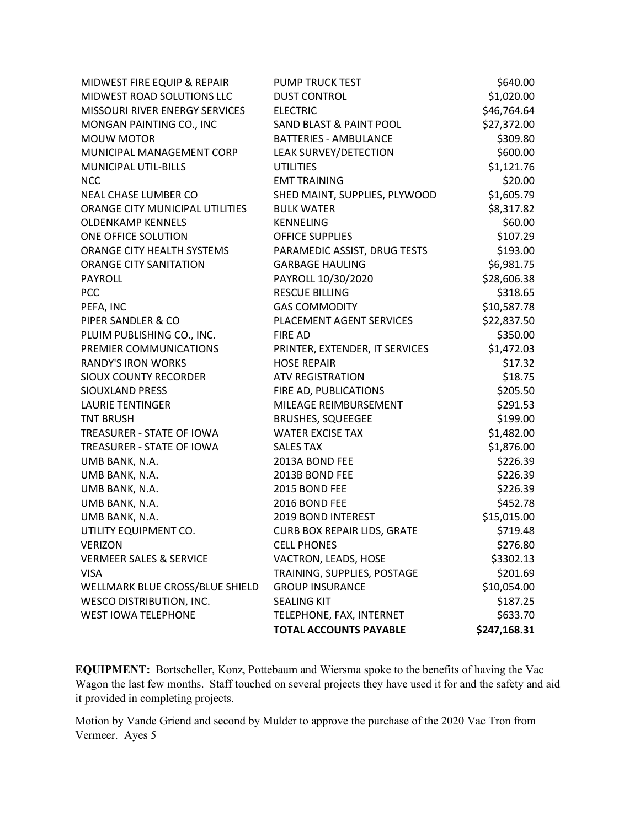|                                    | <b>TOTAL ACCOUNTS PAYABLE</b>      | \$247,168.31 |
|------------------------------------|------------------------------------|--------------|
| <b>WEST IOWA TELEPHONE</b>         | TELEPHONE, FAX, INTERNET           | \$633.70     |
| <b>WESCO DISTRIBUTION, INC.</b>    | <b>SEALING KIT</b>                 | \$187.25     |
| WELLMARK BLUE CROSS/BLUE SHIELD    | <b>GROUP INSURANCE</b>             | \$10,054.00  |
| <b>VISA</b>                        | TRAINING, SUPPLIES, POSTAGE        | \$201.69     |
| <b>VERMEER SALES &amp; SERVICE</b> | VACTRON, LEADS, HOSE               | \$3302.13    |
| VERIZON                            | <b>CELL PHONES</b>                 | \$276.80     |
| UTILITY EQUIPMENT CO.              | <b>CURB BOX REPAIR LIDS, GRATE</b> | \$719.48     |
| UMB BANK, N.A.                     | 2019 BOND INTEREST                 | \$15,015.00  |
| UMB BANK, N.A.                     | 2016 BOND FEE                      | \$452.78     |
| UMB BANK, N.A.                     | 2015 BOND FEE                      | \$226.39     |
| UMB BANK, N.A.                     | 2013B BOND FEE                     | \$226.39     |
| UMB BANK, N.A.                     | 2013A BOND FEE                     | \$226.39     |
| TREASURER - STATE OF IOWA          | <b>SALES TAX</b>                   | \$1,876.00   |
| TREASURER - STATE OF IOWA          | <b>WATER EXCISE TAX</b>            | \$1,482.00   |
| <b>TNT BRUSH</b>                   | <b>BRUSHES, SQUEEGEE</b>           | \$199.00     |
| <b>LAURIE TENTINGER</b>            | MILEAGE REIMBURSEMENT              | \$291.53     |
| <b>SIOUXLAND PRESS</b>             | FIRE AD, PUBLICATIONS              | \$205.50     |
| <b>SIOUX COUNTY RECORDER</b>       | <b>ATV REGISTRATION</b>            | \$18.75      |
| <b>RANDY'S IRON WORKS</b>          | <b>HOSE REPAIR</b>                 | \$17.32      |
| PREMIER COMMUNICATIONS             | PRINTER, EXTENDER, IT SERVICES     | \$1,472.03   |
| PLUIM PUBLISHING CO., INC.         | <b>FIRE AD</b>                     | \$350.00     |
| PIPER SANDLER & CO                 | PLACEMENT AGENT SERVICES           | \$22,837.50  |
| PEFA, INC                          | <b>GAS COMMODITY</b>               | \$10,587.78  |
| <b>PCC</b>                         | <b>RESCUE BILLING</b>              | \$318.65     |
| PAYROLL                            | PAYROLL 10/30/2020                 | \$28,606.38  |
| <b>ORANGE CITY SANITATION</b>      | <b>GARBAGE HAULING</b>             | \$6,981.75   |
| ORANGE CITY HEALTH SYSTEMS         | PARAMEDIC ASSIST, DRUG TESTS       | \$193.00     |
| ONE OFFICE SOLUTION                | <b>OFFICE SUPPLIES</b>             | \$107.29     |
| <b>OLDENKAMP KENNELS</b>           | <b>KENNELING</b>                   | \$60.00      |
| ORANGE CITY MUNICIPAL UTILITIES    | <b>BULK WATER</b>                  | \$8,317.82   |
| NEAL CHASE LUMBER CO               | SHED MAINT, SUPPLIES, PLYWOOD      | \$1,605.79   |
| <b>NCC</b>                         | <b>EMT TRAINING</b>                | \$20.00      |
| MUNICIPAL UTIL-BILLS               | <b>UTILITIES</b>                   | \$1,121.76   |
| MUNICIPAL MANAGEMENT CORP          | LEAK SURVEY/DETECTION              | \$600.00     |
| <b>MOUW MOTOR</b>                  | <b>BATTERIES - AMBULANCE</b>       | \$309.80     |
| MONGAN PAINTING CO., INC           | <b>SAND BLAST &amp; PAINT POOL</b> | \$27,372.00  |
| MISSOURI RIVER ENERGY SERVICES     | <b>ELECTRIC</b>                    | \$46,764.64  |
| MIDWEST ROAD SOLUTIONS LLC         | <b>DUST CONTROL</b>                | \$1,020.00   |
| MIDWEST FIRE EQUIP & REPAIR        | PUMP TRUCK TEST                    | \$640.00     |
|                                    |                                    |              |

**EQUIPMENT:** Bortscheller, Konz, Pottebaum and Wiersma spoke to the benefits of having the Vac Wagon the last few months. Staff touched on several projects they have used it for and the safety and aid it provided in completing projects.

Motion by Vande Griend and second by Mulder to approve the purchase of the 2020 Vac Tron from Vermeer. Ayes 5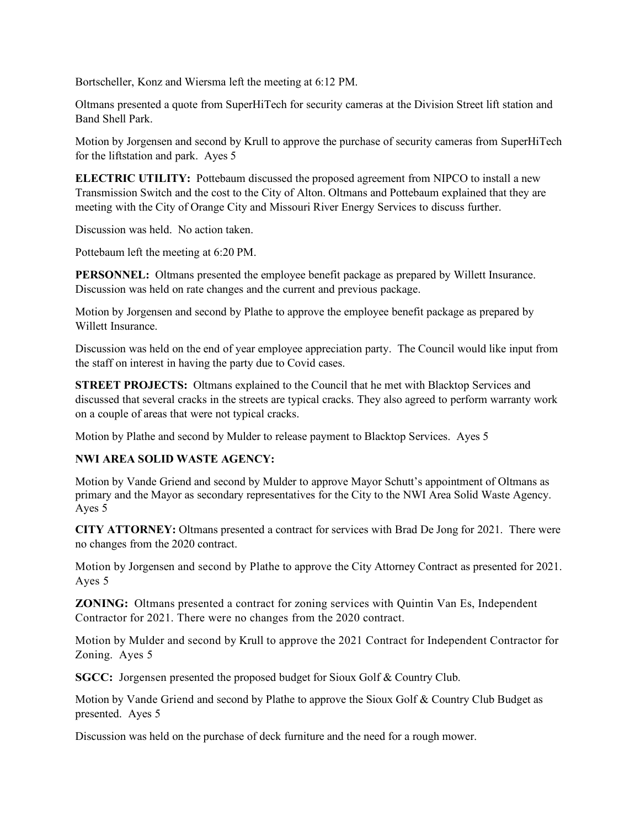Bortscheller, Konz and Wiersma left the meeting at 6:12 PM.

Oltmans presented a quote from SuperHiTech for security cameras at the Division Street lift station and Band Shell Park.

Motion by Jorgensen and second by Krull to approve the purchase of security cameras from SuperHiTech for the liftstation and park. Ayes 5

**ELECTRIC UTILITY:** Pottebaum discussed the proposed agreement from NIPCO to install a new Transmission Switch and the cost to the City of Alton. Oltmans and Pottebaum explained that they are meeting with the City of Orange City and Missouri River Energy Services to discuss further.

Discussion was held. No action taken.

Pottebaum left the meeting at 6:20 PM.

**PERSONNEL:** Oltmans presented the employee benefit package as prepared by Willett Insurance. Discussion was held on rate changes and the current and previous package.

Motion by Jorgensen and second by Plathe to approve the employee benefit package as prepared by Willett Insurance.

Discussion was held on the end of year employee appreciation party. The Council would like input from the staff on interest in having the party due to Covid cases.

**STREET PROJECTS:** Oltmans explained to the Council that he met with Blacktop Services and discussed that several cracks in the streets are typical cracks. They also agreed to perform warranty work on a couple of areas that were not typical cracks.

Motion by Plathe and second by Mulder to release payment to Blacktop Services. Ayes 5

## **NWI AREA SOLID WASTE AGENCY:**

Motion by Vande Griend and second by Mulder to approve Mayor Schutt's appointment of Oltmans as primary and the Mayor as secondary representatives for the City to the NWI Area Solid Waste Agency. Ayes 5

**CITY ATTORNEY:** Oltmans presented a contract for services with Brad De Jong for 2021. There were no changes from the 2020 contract.

Motion by Jorgensen and second by Plathe to approve the City Attorney Contract as presented for 2021. Ayes 5

**ZONING:** Oltmans presented a contract for zoning services with Quintin Van Es, Independent Contractor for 2021. There were no changes from the 2020 contract.

Motion by Mulder and second by Krull to approve the 2021 Contract for Independent Contractor for Zoning. Ayes 5

**SGCC:** Jorgensen presented the proposed budget for Sioux Golf & Country Club.

Motion by Vande Griend and second by Plathe to approve the Sioux Golf & Country Club Budget as presented. Ayes 5

Discussion was held on the purchase of deck furniture and the need for a rough mower.